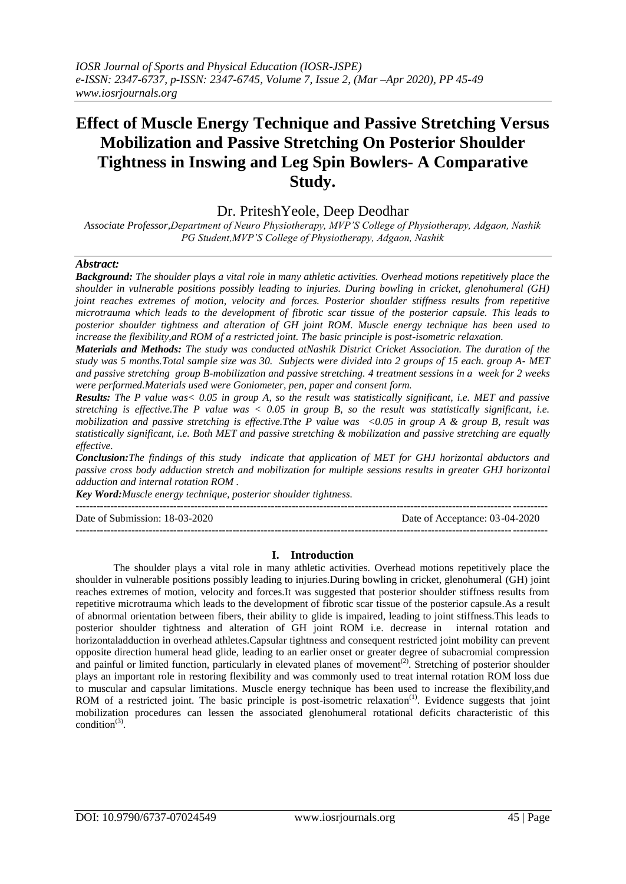# **Effect of Muscle Energy Technique and Passive Stretching Versus Mobilization and Passive Stretching On Posterior Shoulder Tightness in Inswing and Leg Spin Bowlers- A Comparative Study.**

Dr. PriteshYeole, Deep Deodhar

*Associate Professor,Department of Neuro Physiotherapy, MVP'S College of Physiotherapy, Adgaon, Nashik PG Student,MVP'S College of Physiotherapy, Adgaon, Nashik*

# *Abstract:*

*Background: The shoulder plays a vital role in many athletic activities. Overhead motions repetitively place the shoulder in vulnerable positions possibly leading to injuries. During bowling in cricket, glenohumeral (GH) joint reaches extremes of motion, velocity and forces. Posterior shoulder stiffness results from repetitive microtrauma which leads to the development of fibrotic scar tissue of the posterior capsule. This leads to posterior shoulder tightness and alteration of GH joint ROM. Muscle energy technique has been used to increase the flexibility,and ROM of a restricted joint. The basic principle is post-isometric relaxation.*

*Materials and Methods: The study was conducted atNashik District Cricket Association. The duration of the study was 5 months.Total sample size was 30. Subjects were divided into 2 groups of 15 each. group A- MET and passive stretching group B-mobilization and passive stretching. 4 treatment sessions in a week for 2 weeks were performed.Materials used were Goniometer, pen, paper and consent form.*

*Results: The P value was< 0.05 in group A, so the result was statistically significant, i.e. MET and passive stretching is effective.The P value was < 0.05 in group B, so the result was statistically significant, i.e. mobilization and passive stretching is effective.Tthe P value was <0.05 in group A & group B, result was statistically significant, i.e. Both MET and passive stretching & mobilization and passive stretching are equally effective.*

*Conclusion:The findings of this study indicate that application of MET for GHJ horizontal abductors and passive cross body adduction stretch and mobilization for multiple sessions results in greater GHJ horizontal adduction and internal rotation ROM .*

*Key Word:Muscle energy technique, posterior shoulder tightness.*

 $-1.1$ 

Date of Submission: 18-03-2020 Date of Acceptance: 03-04-2020

# **I. Introduction**

---------------------------------------------------------------------------------------------------------------------------------------

The shoulder plays a vital role in many athletic activities. Overhead motions repetitively place the shoulder in vulnerable positions possibly leading to injuries.During bowling in cricket, glenohumeral (GH) joint reaches extremes of motion, velocity and forces.It was suggested that posterior shoulder stiffness results from repetitive microtrauma which leads to the development of fibrotic scar tissue of the posterior capsule.As a result of abnormal orientation between fibers, their ability to glide is impaired, leading to joint stiffness.This leads to posterior shoulder tightness and alteration of GH joint ROM i.e. decrease in internal rotation and horizontaladduction in overhead athletes.Capsular tightness and consequent restricted joint mobility can prevent opposite direction humeral head glide, leading to an earlier onset or greater degree of subacromial compression and painful or limited function, particularly in elevated planes of movement<sup>(2)</sup>. Stretching of posterior shoulder plays an important role in restoring flexibility and was commonly used to treat internal rotation ROM loss due to muscular and capsular limitations. Muscle energy technique has been used to increase the flexibility,and ROM of a restricted joint. The basic principle is post-isometric relaxation<sup>(1)</sup>. Evidence suggests that joint mobilization procedures can lessen the associated glenohumeral rotational deficits characteristic of this condition $^{(3)}$ .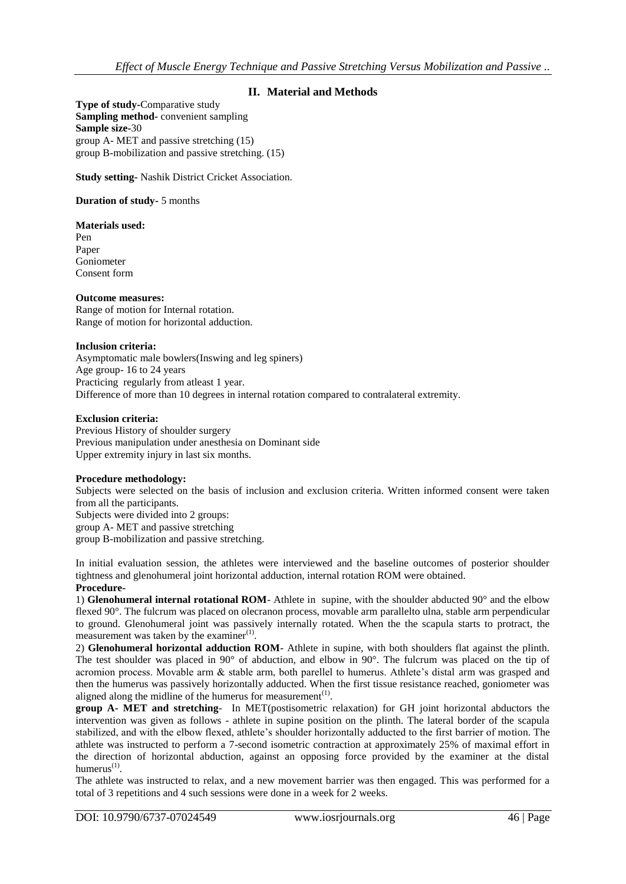# **II. Material and Methods**

**Type of study-**Comparative study **Sampling method-** convenient sampling **Sample size-**30 group A- MET and passive stretching (15) group B-mobilization and passive stretching. (15)

**Study setting-** Nashik District Cricket Association.

# **Duration of study-** 5 months

## **Materials used:**

Pen Paper Goniometer Consent form

## **Outcome measures:**

Range of motion for Internal rotation. Range of motion for horizontal adduction.

## **Inclusion criteria:**

Asymptomatic male bowlers(Inswing and leg spiners) Age group- 16 to 24 years Practicing regularly from atleast 1 year. Difference of more than 10 degrees in internal rotation compared to contralateral extremity.

# **Exclusion criteria:**

Previous History of shoulder surgery Previous manipulation under anesthesia on Dominant side Upper extremity injury in last six months.

## **Procedure methodology:**

Subjects were selected on the basis of inclusion and exclusion criteria. Written informed consent were taken from all the participants. Subjects were divided into 2 groups: group A- MET and passive stretching group B-mobilization and passive stretching.

In initial evaluation session, the athletes were interviewed and the baseline outcomes of posterior shoulder tightness and glenohumeral joint horizontal adduction, internal rotation ROM were obtained. **Procedure-**

1) **Glenohumeral internal rotational ROM**- Athlete in supine, with the shoulder abducted 90° and the elbow flexed 90°. The fulcrum was placed on olecranon process, movable arm parallelto ulna, stable arm perpendicular to ground. Glenohumeral joint was passively internally rotated. When the the scapula starts to protract, the measurement was taken by the examiner $^{(1)}$ .

2) **Glenohumeral horizontal adduction ROM**- Athlete in supine, with both shoulders flat against the plinth. The test shoulder was placed in 90° of abduction, and elbow in 90°. The fulcrum was placed on the tip of acromion process. Movable arm & stable arm, both parellel to humerus. Athlete's distal arm was grasped and then the humerus was passively horizontally adducted. When the first tissue resistance reached, goniometer was aligned along the midline of the humerus for measurement $(1)$ .

**group A- MET and stretching**- In MET(postisometric relaxation) for GH joint horizontal abductors the intervention was given as follows - athlete in supine position on the plinth. The lateral border of the scapula stabilized, and with the elbow flexed, athlete's shoulder horizontally adducted to the first barrier of motion. The athlete was instructed to perform a 7-second isometric contraction at approximately 25% of maximal effort in the direction of horizontal abduction, against an opposing force provided by the examiner at the distal humerus $^{(1)}$ .

The athlete was instructed to relax, and a new movement barrier was then engaged. This was performed for a total of 3 repetitions and 4 such sessions were done in a week for 2 weeks.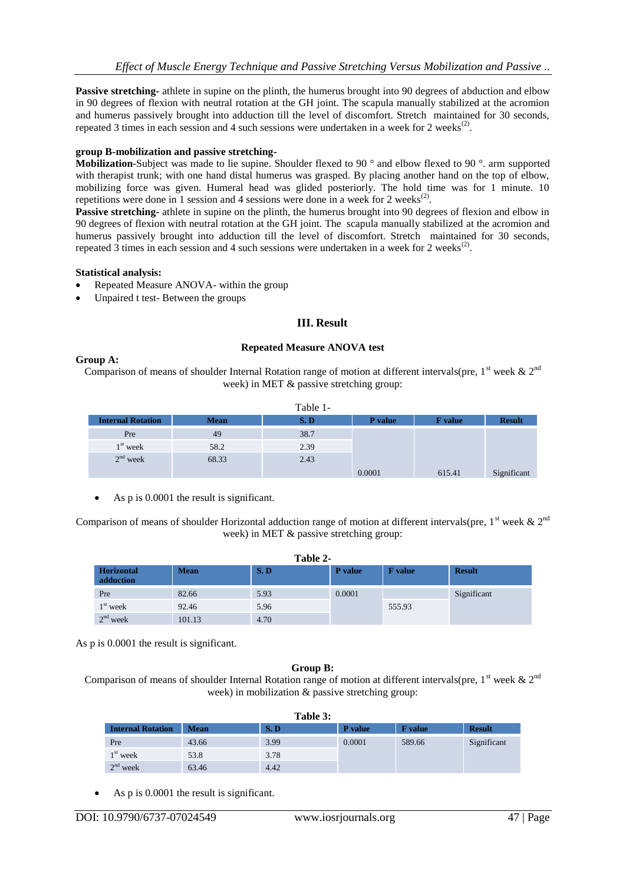**Passive stretching-** athlete in supine on the plinth, the humerus brought into 90 degrees of abduction and elbow in 90 degrees of flexion with neutral rotation at the GH joint. The scapula manually stabilized at the acromion and humerus passively brought into adduction till the level of discomfort. Stretch maintained for 30 seconds, repeated 3 times in each session and 4 such sessions were undertaken in a week for 2 weeks<sup>(2)</sup>.

# **group B-mobilization and passive stretching-**

**Mobilization**-Subject was made to lie supine. Shoulder flexed to 90 ° and elbow flexed to 90 °. arm supported with therapist trunk; with one hand distal humerus was grasped. By placing another hand on the top of elbow, mobilizing force was given. Humeral head was glided posteriorly. The hold time was for 1 minute. 10 repetitions were done in 1 session and 4 sessions were done in a week for 2 weeks<sup>(2)</sup>.

**Passive stretching-** athlete in supine on the plinth, the humerus brought into 90 degrees of flexion and elbow in 90 degrees of flexion with neutral rotation at the GH joint. The scapula manually stabilized at the acromion and humerus passively brought into adduction till the level of discomfort. Stretch maintained for 30 seconds, repeated  $\overline{3}$  times in each session and 4 such sessions were undertaken in a week for 2 weeks<sup>(2)</sup>.

## **Statistical analysis:**

- Repeated Measure ANOVA- within the group
- Unpaired t test- Between the groups

# **III. Result**

## **Repeated Measure ANOVA test**

# **Group A:**

Comparison of means of shoulder Internal Rotation range of motion at different intervals(pre,  $1<sup>st</sup>$  week &  $2<sup>nd</sup>$ week) in MET & passive stretching group:

| Table 1-                 |             |      |                |                |               |  |
|--------------------------|-------------|------|----------------|----------------|---------------|--|
| <b>Internal Rotation</b> | <b>Mean</b> | S.D  | <b>P</b> value | <b>F</b> value | <b>Result</b> |  |
| Pre                      | 49          | 38.7 |                |                |               |  |
| $1st$ week               | 58.2        | 2.39 |                |                |               |  |
| $2nd$ week               | 68.33       | 2.43 |                |                |               |  |
|                          |             |      | 0.0001         | 615.41         | Significant   |  |

As p is 0.0001 the result is significant.

Comparison of means of shoulder Horizontal adduction range of motion at different intervals(pre,  $1^{st}$  week &  $2^{nd}$ week) in MET & passive stretching group:

| Table 2-                       |             |      |                |                |               |  |  |
|--------------------------------|-------------|------|----------------|----------------|---------------|--|--|
| <b>Horizontal</b><br>adduction | <b>Mean</b> | S.D  | <b>P</b> value | <b>F</b> value | <b>Result</b> |  |  |
| Pre                            | 82.66       | 5.93 | 0.0001         |                | Significant   |  |  |
| $1st$ week                     | 92.46       | 5.96 |                | 555.93         |               |  |  |
| $2nd$ week                     | 101.13      | 4.70 |                |                |               |  |  |

As p is 0.0001 the result is significant.

# **Group B:**

Comparison of means of shoulder Internal Rotation range of motion at different intervals(pre,  $1^{st}$  week  $\& 2^{nd}$ week) in mobilization & passive stretching group:

| Table 3:                 |             |            |         |                |               |  |
|--------------------------|-------------|------------|---------|----------------|---------------|--|
| <b>Internal Rotation</b> | <b>Mean</b> | <b>S.D</b> | P value | <b>F</b> value | <b>Result</b> |  |
| Pre                      | 43.66       | 3.99       | 0.0001  | 589.66         | Significant   |  |
| $1st$ week               | 53.8        | 3.78       |         |                |               |  |
| $2nd$ week               | 63.46       | 4.42       |         |                |               |  |

As p is 0.0001 the result is significant.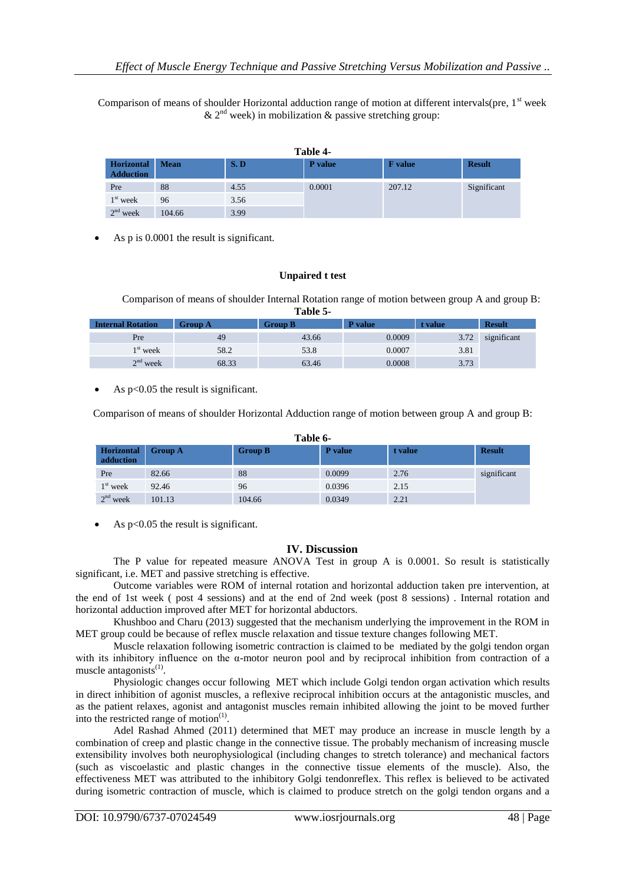Comparison of means of shoulder Horizontal adduction range of motion at different intervals(pre,  $1<sup>st</sup>$  week  $\&$  2<sup>nd</sup> week) in mobilization  $\&$  passive stretching group:

| Table 4-                       |             |      |                |                |               |  |
|--------------------------------|-------------|------|----------------|----------------|---------------|--|
| Horizontal<br><b>Adduction</b> | <b>Mean</b> | S.D  | <b>P</b> value | <b>F</b> value | <b>Result</b> |  |
| Pre                            | 88          | 4.55 | 0.0001         | 207.12         | Significant   |  |
| $1st$ week                     | 96          | 3.56 |                |                |               |  |
| $2nd$ week                     | 104.66      | 3.99 |                |                |               |  |

As p is 0.0001 the result is significant.

## **Unpaired t test**

Comparison of means of shoulder Internal Rotation range of motion between group A and group B: **Table 5-**

| .                        |                |                |         |         |               |  |  |
|--------------------------|----------------|----------------|---------|---------|---------------|--|--|
| <b>Internal Rotation</b> | <b>Group A</b> | <b>Group B</b> | P value | t value | <b>Result</b> |  |  |
| Pre                      | 49             | 43.66          | 0.0009  | 3.72    | significant   |  |  |
| $1st$ week               | 58.2           | 53.8           | 0.0007  | 3.81    |               |  |  |
| $2nd$ week               | 68.33          | 63.46          | 0.0008  | 3.73    |               |  |  |

As p<0.05 the result is significant.

Comparison of means of shoulder Horizontal Adduction range of motion between group A and group B:

| Table 6-                |                |                |         |         |               |  |  |
|-------------------------|----------------|----------------|---------|---------|---------------|--|--|
| Horizontal<br>adduction | <b>Group A</b> | <b>Group B</b> | P value | t value | <b>Result</b> |  |  |
| Pre                     | 82.66          | 88             | 0.0099  | 2.76    | significant   |  |  |
| $1st$ week              | 92.46          | 96             | 0.0396  | 2.15    |               |  |  |
| $2nd$ week              | 101.13         | 104.66         | 0.0349  | 2.21    |               |  |  |

As  $p<0.05$  the result is significant.

# **IV. Discussion**

The P value for repeated measure ANOVA Test in group A is 0.0001. So result is statistically significant, i.e. MET and passive stretching is effective.

Outcome variables were ROM of internal rotation and horizontal adduction taken pre intervention, at the end of 1st week ( post 4 sessions) and at the end of 2nd week (post 8 sessions) . Internal rotation and horizontal adduction improved after MET for horizontal abductors.

Khushboo and Charu (2013) suggested that the mechanism underlying the improvement in the ROM in MET group could be because of reflex muscle relaxation and tissue texture changes following MET.

Muscle relaxation following isometric contraction is claimed to be mediated by the golgi tendon organ with its inhibitory influence on the α-motor neuron pool and by reciprocal inhibition from contraction of a muscle antagonists $^{(1)}$ .

Physiologic changes occur following MET which include Golgi tendon organ activation which results in direct inhibition of agonist muscles, a reflexive reciprocal inhibition occurs at the antagonistic muscles, and as the patient relaxes, agonist and antagonist muscles remain inhibited allowing the joint to be moved further into the restricted range of motion $(1)$ .

Adel Rashad Ahmed (2011) determined that MET may produce an increase in muscle length by a combination of creep and plastic change in the connective tissue. The probably mechanism of increasing muscle extensibility involves both neurophysiological (including changes to stretch tolerance) and mechanical factors (such as viscoelastic and plastic changes in the connective tissue elements of the muscle). Also, the effectiveness MET was attributed to the inhibitory Golgi tendonreflex. This reflex is believed to be activated during isometric contraction of muscle, which is claimed to produce stretch on the golgi tendon organs and a